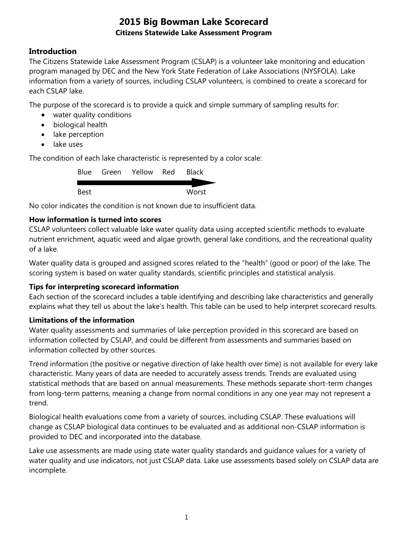### **Introduction**

The Citizens Statewide Lake Assessment Program (CSLAP) is a volunteer lake monitoring and education program managed by DEC and the New York State Federation of Lake Associations (NYSFOLA). Lake information from a variety of sources, including CSLAP volunteers, is combined to create a scorecard for each CSLAP lake.

The purpose of the scorecard is to provide a quick and simple summary of sampling results for:

- water quality conditions
- biological health
- lake perception
- lake uses

The condition of each lake characteristic is represented by a color scale:

|      | Blue Green Yellow Red | <b>Black</b> |
|------|-----------------------|--------------|
|      |                       |              |
| Best |                       | Worst        |

No color indicates the condition is not known due to insufficient data.

#### **How information is turned into scores**

CSLAP volunteers collect valuable lake water quality data using accepted scientific methods to evaluate nutrient enrichment, aquatic weed and algae growth, general lake conditions, and the recreational quality of a lake.

Water quality data is grouped and assigned scores related to the "health" (good or poor) of the lake. The scoring system is based on water quality standards, scientific principles and statistical analysis.

#### **Tips for interpreting scorecard information**

Each section of the scorecard includes a table identifying and describing lake characteristics and generally explains what they tell us about the lake's health. This table can be used to help interpret scorecard results.

#### **Limitations of the information**

Water quality assessments and summaries of lake perception provided in this scorecard are based on information collected by CSLAP, and could be different from assessments and summaries based on information collected by other sources.

Trend information (the positive or negative direction of lake health over time) is not available for every lake characteristic. Many years of data are needed to accurately assess trends. Trends are evaluated using statistical methods that are based on annual measurements. These methods separate short-term changes from long-term patterns, meaning a change from normal conditions in any one year may not represent a trend.

Biological health evaluations come from a variety of sources, including CSLAP. These evaluations will change as CSLAP biological data continues to be evaluated and as additional non-CSLAP information is provided to DEC and incorporated into the database.

Lake use assessments are made using state water quality standards and guidance values for a variety of water quality and use indicators, not just CSLAP data. Lake use assessments based solely on CSLAP data are incomplete.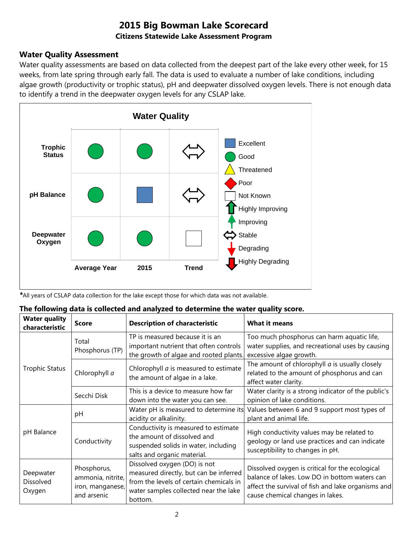### **Water Quality Assessment**

Water quality assessments are based on data collected from the deepest part of the lake every other week, for 15 weeks, from late spring through early fall. The data is used to evaluate a number of lake conditions, including algae growth (productivity or trophic status), pH and deepwater dissolved oxygen levels. There is not enough data to identify a trend in the deepwater oxygen levels for any CSLAP lake.



*\**All years of CSLAP data collection for the lake except those for which data was not available.

|  |  |  |  | The following data is collected and analyzed to determine the water quality score. |
|--|--|--|--|------------------------------------------------------------------------------------|
|--|--|--|--|------------------------------------------------------------------------------------|

| <b>Water quality</b><br>characteristic | <b>Score</b>                                                        | <b>Description of characteristic</b>                                                                                                                                  | <b>What it means</b>                                                                                                                                                                       |
|----------------------------------------|---------------------------------------------------------------------|-----------------------------------------------------------------------------------------------------------------------------------------------------------------------|--------------------------------------------------------------------------------------------------------------------------------------------------------------------------------------------|
|                                        | Total<br>Phosphorus (TP)                                            | TP is measured because it is an<br>important nutrient that often controls<br>the growth of algae and rooted plants.                                                   | Too much phosphorus can harm aquatic life,<br>water supplies, and recreational uses by causing<br>excessive algae growth.                                                                  |
| <b>Trophic Status</b>                  | Chlorophyll a                                                       | Chlorophyll <i>a</i> is measured to estimate<br>the amount of algae in a lake.                                                                                        | The amount of chlorophyll $a$ is usually closely<br>related to the amount of phosphorus and can<br>affect water clarity.                                                                   |
|                                        | Secchi Disk                                                         | This is a device to measure how far<br>down into the water you can see.                                                                                               | Water clarity is a strong indicator of the public's<br>opinion of lake conditions.                                                                                                         |
|                                        | pH                                                                  | Water pH is measured to determine its<br>acidity or alkalinity.                                                                                                       | Values between 6 and 9 support most types of<br>plant and animal life.                                                                                                                     |
| pH Balance                             | Conductivity                                                        | Conductivity is measured to estimate<br>the amount of dissolved and<br>suspended solids in water, including<br>salts and organic material.                            | High conductivity values may be related to<br>geology or land use practices and can indicate<br>susceptibility to changes in pH.                                                           |
| Deepwater<br>Dissolved<br>Oxygen       | Phosphorus,<br>ammonia, nitrite,<br>iron, manganese,<br>and arsenic | Dissolved oxygen (DO) is not<br>measured directly, but can be inferred<br>from the levels of certain chemicals in<br>water samples collected near the lake<br>bottom. | Dissolved oxygen is critical for the ecological<br>balance of lakes. Low DO in bottom waters can<br>affect the survival of fish and lake organisms and<br>cause chemical changes in lakes. |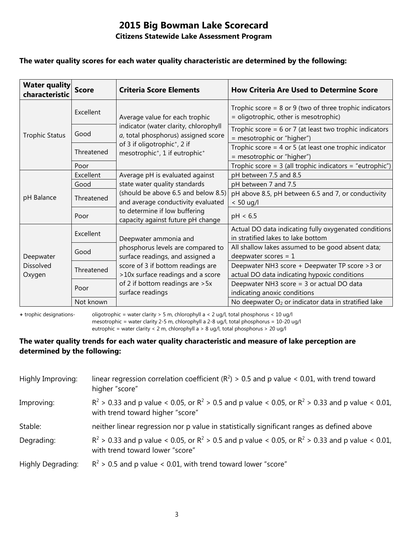#### **Citizens Statewide Lake Assessment Program**

#### **The water quality scores for each water quality characteristic are determined by the following:**

| <b>Water quality</b><br>characteristic | <b>Score</b> | <b>Criteria Score Elements</b>                                                                                 | <b>How Criteria Are Used to Determine Score</b>                                                      |
|----------------------------------------|--------------|----------------------------------------------------------------------------------------------------------------|------------------------------------------------------------------------------------------------------|
|                                        | Excellent    | Average value for each trophic<br>indicator (water clarity, chlorophyll<br>a, total phosphorus) assigned score | Trophic score = $8$ or $9$ (two of three trophic indicators<br>= oligotrophic, other is mesotrophic) |
| <b>Trophic Status</b>                  | Good         |                                                                                                                | Trophic score = $6$ or 7 (at least two trophic indicators<br>= mesotrophic or "higher")              |
|                                        | Threatened   | of 3 if oligotrophic <sup>+</sup> , 2 if<br>mesotrophic <sup>+</sup> , 1 if eutrophic <sup>+</sup>             | Trophic score = 4 or 5 (at least one trophic indicator<br>= mesotrophic or "higher")                 |
|                                        | Poor         |                                                                                                                | Trophic score = 3 (all trophic indicators = "eutrophic")                                             |
| pH Balance                             | Excellent    | Average pH is evaluated against                                                                                | pH between 7.5 and 8.5                                                                               |
|                                        | Good         | state water quality standards                                                                                  | pH between 7 and 7.5                                                                                 |
|                                        | Threatened   | (should be above 6.5 and below 8.5)<br>and average conductivity evaluated                                      | pH above 8.5, pH between 6.5 and 7, or conductivity<br>$< 50$ ug/l                                   |
|                                        | Poor         | to determine if low buffering<br>capacity against future pH change                                             | pH < 6.5                                                                                             |
| Deepwater<br>Dissolved<br>Oxygen       | Excellent    | Deepwater ammonia and                                                                                          | Actual DO data indicating fully oxygenated conditions<br>in stratified lakes to lake bottom          |
|                                        | Good         | phosphorus levels are compared to<br>surface readings, and assigned a                                          | All shallow lakes assumed to be good absent data;<br>deepwater scores = $1$                          |
|                                        | Threatened   | score of 3 if bottom readings are<br>>10x surface readings and a score                                         | Deepwater NH3 score + Deepwater TP score > 3 or<br>actual DO data indicating hypoxic conditions      |
|                                        | Poor         | of 2 if bottom readings are > 5x<br>surface readings                                                           | Deepwater NH3 score = 3 or actual DO data<br>indicating anoxic conditions                            |
|                                        | Not known    |                                                                                                                | No deepwater O <sub>2</sub> or indicator data in stratified lake                                     |

**+** trophic designations- oligotrophic = water clarity > 5 m, chlorophyll a < 2 ug/l, total phosphorus < 10 ug/l mesotrophic = water clarity 2-5 m, chlorophyll a 2-8 ug/l, total phosphorus = 10-20 ug/l

eutrophic = water clarity < 2 m, chlorophyll a > 8 ug/l, total phosphorus > 20 ug/l

#### **The water quality trends for each water quality characteristic and measure of lake perception are determined by the following:**

| Highly Improving: | linear regression correlation coefficient ( $R^2$ ) > 0.5 and p value < 0.01, with trend toward<br>higher "score"                           |
|-------------------|---------------------------------------------------------------------------------------------------------------------------------------------|
| Improving:        | $R^2 > 0.33$ and p value < 0.05, or $R^2 > 0.5$ and p value < 0.05, or $R^2 > 0.33$ and p value < 0.01,<br>with trend toward higher "score" |
| Stable:           | neither linear regression nor p value in statistically significant ranges as defined above                                                  |
| Degrading:        | $R^2 > 0.33$ and p value < 0.05, or $R^2 > 0.5$ and p value < 0.05, or $R^2 > 0.33$ and p value < 0.01,<br>with trend toward lower "score"  |
| Highly Degrading: | $R^2$ > 0.5 and p value < 0.01, with trend toward lower "score"                                                                             |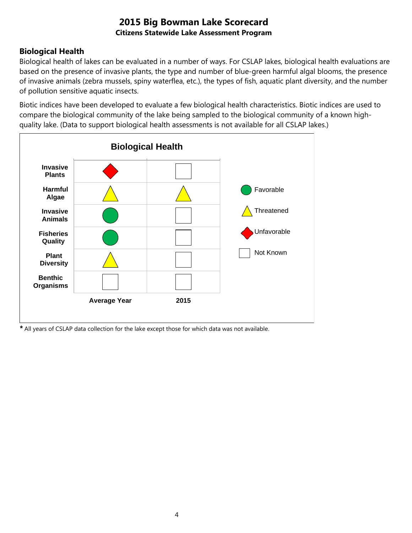### **Biological Health**

Biological health of lakes can be evaluated in a number of ways. For CSLAP lakes, biological health evaluations are based on the presence of invasive plants, the type and number of blue-green harmful algal blooms, the presence of invasive animals (zebra mussels, spiny waterflea, etc.), the types of fish, aquatic plant diversity, and the number of pollution sensitive aquatic insects.

Biotic indices have been developed to evaluate a few biological health characteristics. Biotic indices are used to compare the biological community of the lake being sampled to the biological community of a known highquality lake. (Data to support biological health assessments is not available for all CSLAP lakes.)



*\** All years of CSLAP data collection for the lake except those for which data was not available.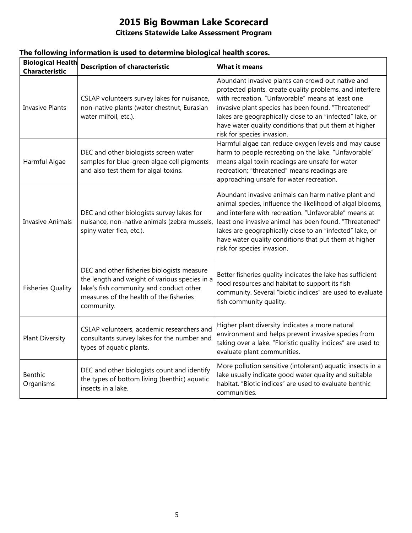### **Citizens Statewide Lake Assessment Program**

| <b>Biological Health</b><br><b>Characteristic</b> | <b>Description of characteristic</b>                                                                                                                                                            | <b>What it means</b>                                                                                                                                                                                                                                                                                                                                                                   |
|---------------------------------------------------|-------------------------------------------------------------------------------------------------------------------------------------------------------------------------------------------------|----------------------------------------------------------------------------------------------------------------------------------------------------------------------------------------------------------------------------------------------------------------------------------------------------------------------------------------------------------------------------------------|
| <b>Invasive Plants</b>                            | CSLAP volunteers survey lakes for nuisance,<br>non-native plants (water chestnut, Eurasian<br>water milfoil, etc.).                                                                             | Abundant invasive plants can crowd out native and<br>protected plants, create quality problems, and interfere<br>with recreation. "Unfavorable" means at least one<br>invasive plant species has been found. "Threatened"<br>lakes are geographically close to an "infected" lake, or<br>have water quality conditions that put them at higher<br>risk for species invasion.           |
| Harmful Algae                                     | DEC and other biologists screen water<br>samples for blue-green algae cell pigments<br>and also test them for algal toxins.                                                                     | Harmful algae can reduce oxygen levels and may cause<br>harm to people recreating on the lake. "Unfavorable"<br>means algal toxin readings are unsafe for water<br>recreation; "threatened" means readings are<br>approaching unsafe for water recreation.                                                                                                                             |
| <b>Invasive Animals</b>                           | DEC and other biologists survey lakes for<br>nuisance, non-native animals (zebra mussels,<br>spiny water flea, etc.).                                                                           | Abundant invasive animals can harm native plant and<br>animal species, influence the likelihood of algal blooms,<br>and interfere with recreation. "Unfavorable" means at<br>least one invasive animal has been found. "Threatened"<br>lakes are geographically close to an "infected" lake, or<br>have water quality conditions that put them at higher<br>risk for species invasion. |
| <b>Fisheries Quality</b>                          | DEC and other fisheries biologists measure<br>the length and weight of various species in a<br>lake's fish community and conduct other<br>measures of the health of the fisheries<br>community. | Better fisheries quality indicates the lake has sufficient<br>food resources and habitat to support its fish<br>community. Several "biotic indices" are used to evaluate<br>fish community quality.                                                                                                                                                                                    |
| <b>Plant Diversity</b>                            | CSLAP volunteers, academic researchers and<br>consultants survey lakes for the number and<br>types of aquatic plants.                                                                           | Higher plant diversity indicates a more natural<br>environment and helps prevent invasive species from<br>taking over a lake. "Floristic quality indices" are used to<br>evaluate plant communities.                                                                                                                                                                                   |
| <b>Benthic</b><br>Organisms                       | DEC and other biologists count and identify<br>the types of bottom living (benthic) aquatic<br>insects in a lake.                                                                               | More pollution sensitive (intolerant) aquatic insects in a<br>lake usually indicate good water quality and suitable<br>habitat. "Biotic indices" are used to evaluate benthic<br>communities.                                                                                                                                                                                          |

#### **The following information is used to determine biological health scores.**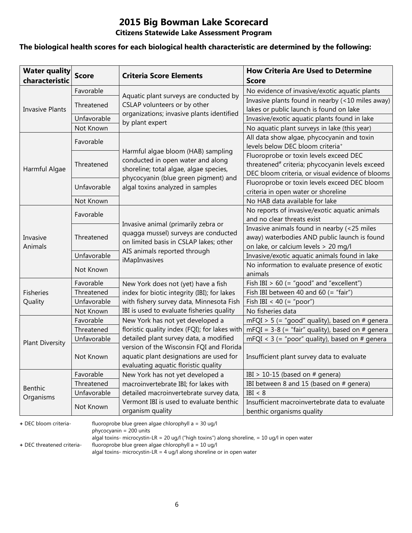#### **Citizens Statewide Lake Assessment Program**

#### **The biological health scores for each biological health characteristic are determined by the following:**

| <b>Water quality</b><br>characteristic | <b>Score</b> | <b>Criteria Score Elements</b>                                                 | <b>How Criteria Are Used to Determine</b><br>Score                                         |
|----------------------------------------|--------------|--------------------------------------------------------------------------------|--------------------------------------------------------------------------------------------|
|                                        | Favorable    |                                                                                | No evidence of invasive/exotic aquatic plants                                              |
|                                        | Threatened   | Aquatic plant surveys are conducted by<br>CSLAP volunteers or by other         | Invasive plants found in nearby (<10 miles away)                                           |
| <b>Invasive Plants</b>                 |              | organizations; invasive plants identified                                      | lakes or public launch is found on lake                                                    |
|                                        | Unfavorable  | by plant expert                                                                | Invasive/exotic aquatic plants found in lake                                               |
|                                        | Not Known    |                                                                                | No aquatic plant surveys in lake (this year)                                               |
|                                        | Favorable    |                                                                                | All data show algae, phycocyanin and toxin<br>levels below DEC bloom criteria <sup>+</sup> |
|                                        |              | Harmful algae bloom (HAB) sampling                                             | Fluoroprobe or toxin levels exceed DEC                                                     |
|                                        | Threatened   | conducted in open water and along                                              | threatened <sup>#</sup> criteria; phycocyanin levels exceed                                |
| Harmful Algae                          |              | shoreline; total algae, algae species,                                         | DEC bloom criteria, or visual evidence of blooms                                           |
|                                        | Unfavorable  | phycocyanin (blue green pigment) and                                           | Fluoroprobe or toxin levels exceed DEC bloom                                               |
|                                        |              | algal toxins analyzed in samples                                               | criteria in open water or shoreline                                                        |
|                                        | Not Known    |                                                                                | No HAB data available for lake                                                             |
|                                        | Favorable    |                                                                                | No reports of invasive/exotic aquatic animals                                              |
|                                        |              | Invasive animal (primarily zebra or                                            | and no clear threats exist                                                                 |
|                                        | Threatened   | quagga mussel) surveys are conducted<br>on limited basis in CSLAP lakes; other | Invasive animals found in nearby (<25 miles                                                |
| Invasive                               |              |                                                                                | away) waterbodies AND public launch is found                                               |
| Animals                                |              | AIS animals reported through                                                   | on lake, or calcium levels > 20 mg/l                                                       |
|                                        | Unfavorable  | iMapInvasives                                                                  | Invasive/exotic aquatic animals found in lake                                              |
|                                        | Not Known    |                                                                                | No information to evaluate presence of exotic<br>animals                                   |
|                                        | Favorable    | New York does not (yet) have a fish                                            | Fish IBI $> 60$ (= "good" and "excellent")                                                 |
| <b>Fisheries</b>                       | Threatened   | index for biotic integrity (IBI); for lakes                                    | Fish IBI between 40 and 60 (= "fair")                                                      |
| Quality                                | Unfavorable  | with fishery survey data, Minnesota Fish                                       | Fish IBI < 40 (= "poor")                                                                   |
|                                        | Not Known    | IBI is used to evaluate fisheries quality                                      | No fisheries data                                                                          |
|                                        | Favorable    | New York has not yet developed a                                               | mFQI > 5 (= "good" quality), based on # genera                                             |
|                                        | Threatened   | floristic quality index (FQI); for lakes with                                  | mFQI = $3-8$ (= "fair" quality), based on # genera                                         |
|                                        | Unfavorable  | detailed plant survey data, a modified                                         | mFQI < $3$ (= "poor" quality), based on # genera                                           |
| <b>Plant Diversity</b>                 |              | version of the Wisconsin FQI and Florida                                       |                                                                                            |
|                                        | Not Known    | aquatic plant designations are used for                                        | Insufficient plant survey data to evaluate                                                 |
|                                        |              | evaluating aquatic floristic quality                                           |                                                                                            |
|                                        | Favorable    | New York has not yet developed a                                               | IBI > 10-15 (based on $#$ genera)                                                          |
| Benthic                                | Threatened   | macroinvertebrate IBI; for lakes with                                          | IBI between 8 and 15 (based on # genera)                                                   |
| Organisms                              | Unfavorable  | detailed macroinvertebrate survey data,                                        | IBI < 8                                                                                    |
|                                        | Not Known    | Vermont IBI is used to evaluate benthic                                        | Insufficient macroinvertebrate data to evaluate                                            |
|                                        |              | organism quality                                                               | benthic organisms quality                                                                  |

**+** DEC bloom criteria- fluoroprobe blue green algae chlorophyll a = 30 ug/l

phycocyanin = 200 units

algal toxins- microcystin-LR = 20 ug/l ("high toxins") along shoreline, = 10 ug/l in open water

**+** DEC threatened criteria- fluoroprobe blue green algae chlorophyll a = 10 ug/l

algal toxins- microcystin-LR = 4 ug/l along shoreline or in open water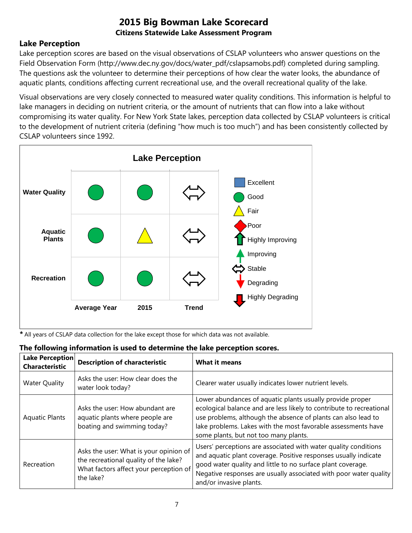### **Lake Perception**

Lake perception scores are based on the visual observations of CSLAP volunteers who answer questions on the Field Observation Form (http://www.dec.ny.gov/docs/water\_pdf/cslapsamobs.pdf) completed during sampling. The questions ask the volunteer to determine their perceptions of how clear the water looks, the abundance of aquatic plants, conditions affecting current recreational use, and the overall recreational quality of the lake.

Visual observations are very closely connected to measured water quality conditions. This information is helpful to lake managers in deciding on nutrient criteria, or the amount of nutrients that can flow into a lake without compromising its water quality. For New York State lakes, perception data collected by CSLAP volunteers is critical to the development of nutrient criteria (defining "how much is too much") and has been consistently collected by CSLAP volunteers since 1992.



*\** All years of CSLAP data collection for the lake except those for which data was not available.

| <b>Lake Perception</b><br><b>Characteristic</b> | <b>Description of characteristic</b>                                                                                                   | <b>What it means</b>                                                                                                                                                                                                                                                                                         |
|-------------------------------------------------|----------------------------------------------------------------------------------------------------------------------------------------|--------------------------------------------------------------------------------------------------------------------------------------------------------------------------------------------------------------------------------------------------------------------------------------------------------------|
| <b>Water Quality</b>                            | Asks the user: How clear does the<br>water look today?                                                                                 | Clearer water usually indicates lower nutrient levels.                                                                                                                                                                                                                                                       |
| <b>Aquatic Plants</b>                           | Asks the user: How abundant are<br>aquatic plants where people are<br>boating and swimming today?                                      | Lower abundances of aquatic plants usually provide proper<br>ecological balance and are less likely to contribute to recreational<br>use problems, although the absence of plants can also lead to<br>lake problems. Lakes with the most favorable assessments have<br>some plants, but not too many plants. |
| Recreation                                      | Asks the user: What is your opinion of<br>the recreational quality of the lake?<br>What factors affect your perception of<br>the lake? | Users' perceptions are associated with water quality conditions<br>and aquatic plant coverage. Positive responses usually indicate<br>good water quality and little to no surface plant coverage.<br>Negative responses are usually associated with poor water quality<br>and/or invasive plants.            |

### **The following information is used to determine the lake perception scores.**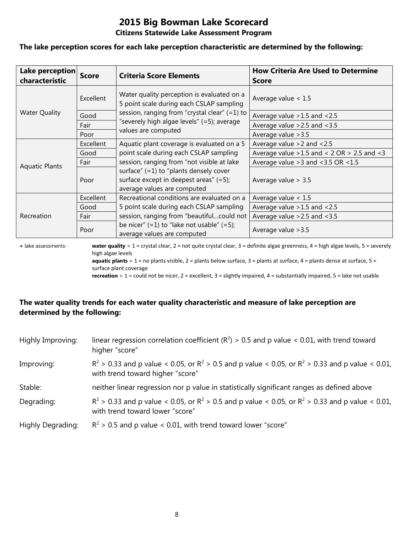#### **Citizens Statewide Lake Assessment Program**

#### **The lake perception scores for each lake perception characteristic are determined by the following:**

| Lake perception<br>characteristic | <b>Score</b> | <b>Criteria Score Elements</b>                                                                                       | <b>How Criteria Are Used to Determine</b><br><b>Score</b> |
|-----------------------------------|--------------|----------------------------------------------------------------------------------------------------------------------|-----------------------------------------------------------|
|                                   | Excellent    | Water quality perception is evaluated on a<br>5 point scale during each CSLAP sampling                               | Average value $< 1.5$                                     |
| <b>Water Quality</b>              | Good         | session, ranging from "crystal clear" $(=1)$ to                                                                      | Average value > 1.5 and < 2.5                             |
|                                   | Fair         | "severely high algae levels" (=5); average                                                                           | Average value $>2.5$ and $<3.5$                           |
|                                   | Poor         | values are computed                                                                                                  | Average value > 3.5                                       |
|                                   | Excellent    | Aquatic plant coverage is evaluated on a 5                                                                           | Average value $>2$ and $<2.5$                             |
|                                   | Good         | point scale during each CSLAP sampling                                                                               | Average value $>1.5$ and < 2 OR $> 2.5$ and < 3           |
| <b>Aquatic Plants</b>             | Fair         | session, ranging from "not visible at lake                                                                           | Average value $>3$ and $<3.5$ OR $<1.5$                   |
|                                   | Poor         | surface" $(=1)$ to "plants densely cover<br>surface except in deepest areas" $(=5)$ ;<br>average values are computed | Average value $> 3.5$                                     |
|                                   | Excellent    | Recreational conditions are evaluated on a                                                                           | Average value $< 1.5$                                     |
| Recreation                        | Good         | 5 point scale during each CSLAP sampling                                                                             | Average value $>1.5$ and $<2.5$                           |
|                                   | Fair         | session, ranging from "beautifulcould not                                                                            | Average value $>2.5$ and $<3.5$                           |
|                                   | Poor         | be nicer" $(=1)$ to "lake not usable" $(=5)$ ;<br>average values are computed                                        | Average value > 3.5                                       |

**+** lake assessments- **water quality** = 1 = crystal clear, 2 = not quite crystal clear, 3 = definite algae greenness, 4 = high algae levels, 5 = severely high algae levels **aquatic plants** = 1 = no plants visible, 2 = plants below surface, 3 = plants at surface, 4 = plants dense at surface, 5 =

surface plant coverage

**recreation** = 1 = could not be nicer, 2 = excellent, 3 = slightly impaired, 4 = substantially impaired, 5 = lake not usable

### **The water quality trends for each water quality characteristic and measure of lake perception are determined by the following:**

| Highly Improving: | linear regression correlation coefficient ( $R^2$ ) > 0.5 and p value < 0.01, with trend toward<br>higher "score"                           |
|-------------------|---------------------------------------------------------------------------------------------------------------------------------------------|
| Improving:        | $R^2 > 0.33$ and p value < 0.05, or $R^2 > 0.5$ and p value < 0.05, or $R^2 > 0.33$ and p value < 0.01,<br>with trend toward higher "score" |
| Stable:           | neither linear regression nor p value in statistically significant ranges as defined above                                                  |
| Degrading:        | $R^2$ > 0.33 and p value < 0.05, or $R^2$ > 0.5 and p value < 0.05, or $R^2$ > 0.33 and p value < 0.01,<br>with trend toward lower "score"  |
| Highly Degrading: | $R^2$ > 0.5 and p value < 0.01, with trend toward lower "score"                                                                             |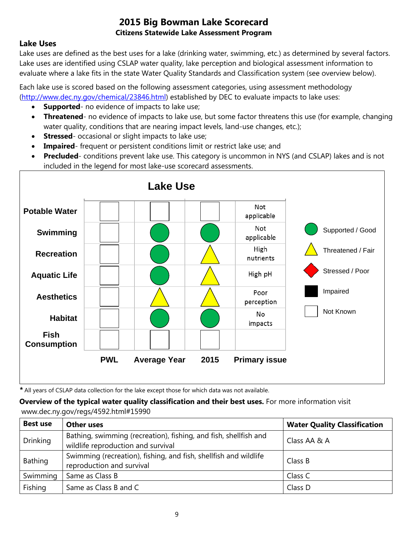### **Lake Uses**

Lake uses are defined as the best uses for a lake (drinking water, swimming, etc.) as determined by several factors. Lake uses are identified using CSLAP water quality, lake perception and biological assessment information to evaluate where a lake fits in the state Water Quality Standards and Classification system (see overview below).

Each lake use is scored based on the following assessment categories, using assessment methodology [\(http://www.dec.ny.gov/chemical/23846.html\)](http://www.dec.ny.gov/chemical/23846.html) established by DEC to evaluate impacts to lake uses:

- **Supported** no evidence of impacts to lake use;
- **Threatened** no evidence of impacts to lake use, but some factor threatens this use (for example, changing water quality, conditions that are nearing impact levels, land-use changes, etc.);
- **Stressed** occasional or slight impacts to lake use;
- **Impaired** frequent or persistent conditions limit or restrict lake use; and
- **Precluded** conditions prevent lake use. This category is uncommon in NYS (and CSLAP) lakes and is not included in the legend for most lake-use scorecard assessments.



*\** All years of CSLAP data collection for the lake except those for which data was not available.

**Overview of the typical water quality classification and their best uses.** For more information visit www.dec.ny.gov/regs/4592.html#15990

| <b>Best use</b> | <b>Other uses</b>                                                                                      | <b>Water Quality Classification</b> |
|-----------------|--------------------------------------------------------------------------------------------------------|-------------------------------------|
| <b>Drinking</b> | Bathing, swimming (recreation), fishing, and fish, shellfish and<br>wildlife reproduction and survival | Class AA & A                        |
| Bathing         | Swimming (recreation), fishing, and fish, shellfish and wildlife<br>reproduction and survival          | Class B                             |
| Swimming        | Same as Class B                                                                                        | Class C                             |
| Fishing         | Same as Class B and C                                                                                  | Class D                             |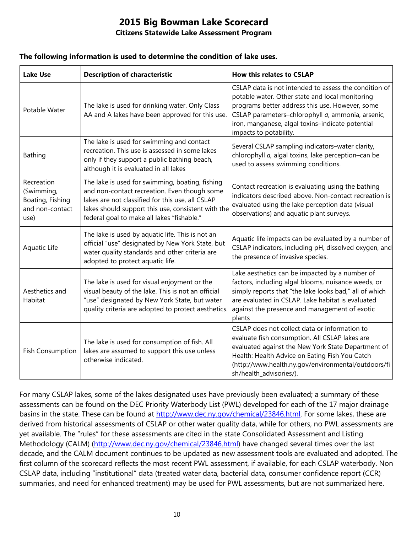#### **The following information is used to determine the condition of lake uses.**

| <b>Lake Use</b>                                                         | <b>Description of characteristic</b>                                                                                                                                                                                                                    | <b>How this relates to CSLAP</b>                                                                                                                                                                                                                                                               |
|-------------------------------------------------------------------------|---------------------------------------------------------------------------------------------------------------------------------------------------------------------------------------------------------------------------------------------------------|------------------------------------------------------------------------------------------------------------------------------------------------------------------------------------------------------------------------------------------------------------------------------------------------|
| Potable Water                                                           | The lake is used for drinking water. Only Class<br>AA and A lakes have been approved for this use.                                                                                                                                                      | CSLAP data is not intended to assess the condition of<br>potable water. Other state and local monitoring<br>programs better address this use. However, some<br>CSLAP parameters-chlorophyll a, ammonia, arsenic,<br>iron, manganese, algal toxins-indicate potential<br>impacts to potability. |
| Bathing                                                                 | The lake is used for swimming and contact<br>recreation. This use is assessed in some lakes<br>only if they support a public bathing beach,<br>although it is evaluated in all lakes                                                                    | Several CSLAP sampling indicators-water clarity,<br>chlorophyll a, algal toxins, lake perception-can be<br>used to assess swimming conditions.                                                                                                                                                 |
| Recreation<br>(Swimming,<br>Boating, Fishing<br>and non-contact<br>use) | The lake is used for swimming, boating, fishing<br>and non-contact recreation. Even though some<br>lakes are not classified for this use, all CSLAP<br>lakes should support this use, consistent with the<br>federal goal to make all lakes "fishable." | Contact recreation is evaluating using the bathing<br>indicators described above. Non-contact recreation is<br>evaluated using the lake perception data (visual<br>observations) and aquatic plant surveys.                                                                                    |
| Aquatic Life                                                            | The lake is used by aquatic life. This is not an<br>official "use" designated by New York State, but<br>water quality standards and other criteria are<br>adopted to protect aquatic life.                                                              | Aquatic life impacts can be evaluated by a number of<br>CSLAP indicators, including pH, dissolved oxygen, and<br>the presence of invasive species.                                                                                                                                             |
| Aesthetics and<br>Habitat                                               | The lake is used for visual enjoyment or the<br>visual beauty of the lake. This is not an official<br>"use" designated by New York State, but water<br>quality criteria are adopted to protect aesthetics.                                              | Lake aesthetics can be impacted by a number of<br>factors, including algal blooms, nuisance weeds, or<br>simply reports that "the lake looks bad," all of which<br>are evaluated in CSLAP. Lake habitat is evaluated<br>against the presence and management of exotic<br>plants                |
| <b>Fish Consumption</b>                                                 | The lake is used for consumption of fish. All<br>lakes are assumed to support this use unless<br>otherwise indicated.                                                                                                                                   | CSLAP does not collect data or information to<br>evaluate fish consumption. All CSLAP lakes are<br>evaluated against the New York State Department of<br>Health: Health Advice on Eating Fish You Catch<br>(http://www.health.ny.gov/environmental/outdoors/fi<br>sh/health_advisories/).      |

For many CSLAP lakes, some of the lakes designated uses have previously been evaluated; a summary of these assessments can be found on the DEC Priority Waterbody List (PWL) developed for each of the 17 major drainage basins in the state. These can be found at [http://www.dec.ny.gov/chemical/23846.html.](http://www.dec.ny.gov/chemical/23846.html) For some lakes, these are derived from historical assessments of CSLAP or other water quality data, while for others, no PWL assessments are yet available. The "rules" for these assessments are cited in the state Consolidated Assessment and Listing Methodology (CALM) [\(http://www.dec.ny.gov/chemical/23846.html\)](http://www.dec.ny.gov/chemical/23846.html) have changed several times over the last decade, and the CALM document continues to be updated as new assessment tools are evaluated and adopted. The first column of the scorecard reflects the most recent PWL assessment, if available, for each CSLAP waterbody. Non CSLAP data, including "institutional" data (treated water data, bacterial data, consumer confidence report (CCR) summaries, and need for enhanced treatment) may be used for PWL assessments, but are not summarized here.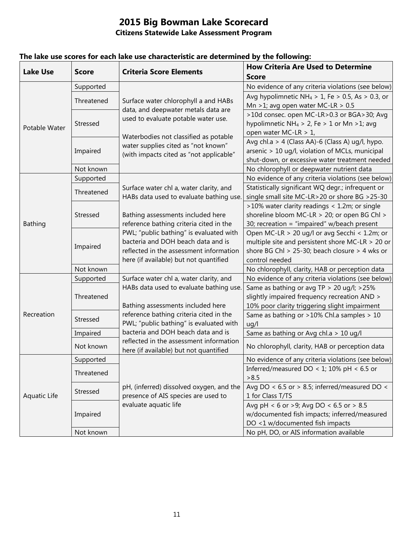| <b>Lake Use</b> | <b>Score</b> | <b>Criteria Score Elements</b>                                                                                          | <b>How Criteria Are Used to Determine</b>                    |
|-----------------|--------------|-------------------------------------------------------------------------------------------------------------------------|--------------------------------------------------------------|
|                 |              |                                                                                                                         | <b>Score</b>                                                 |
| Potable Water   | Supported    | Surface water chlorophyll a and HABs<br>data, and deepwater metals data are<br>used to evaluate potable water use.      | No evidence of any criteria violations (see below)           |
|                 | Threatened   |                                                                                                                         | Avg hypolimnetic NH <sub>4</sub> > 1, Fe > 0.5, As > 0.3, or |
|                 |              |                                                                                                                         | Mn >1; avg open water MC-LR > $0.5$                          |
|                 | Stressed     |                                                                                                                         | >10d consec. open MC-LR>0.3 or BGA>30; Avg                   |
|                 |              |                                                                                                                         | hypolimnetic NH <sub>4</sub> > 2, Fe > 1 or Mn > 1; avg      |
|                 |              | Waterbodies not classified as potable<br>water supplies cited as "not known"<br>(with impacts cited as "not applicable" | open water MC-LR > 1,                                        |
|                 | Impaired     |                                                                                                                         | Avg chl.a > 4 (Class AA)-6 (Class A) ug/l, hypo.             |
|                 |              |                                                                                                                         | arsenic > 10 ug/l, violation of MCLs, municipal              |
|                 |              |                                                                                                                         | shut-down, or excessive water treatment needed               |
|                 | Not known    |                                                                                                                         | No chlorophyll or deepwater nutrient data                    |
| <b>Bathing</b>  | Supported    | Surface water chl a, water clarity, and<br>HABs data used to evaluate bathing use                                       | No evidence of any criteria violations (see below)           |
|                 | Threatened   |                                                                                                                         | Statistically significant WQ degr.; infrequent or            |
|                 |              |                                                                                                                         | single small site MC-LR>20 or shore BG >25-30                |
|                 | Stressed     |                                                                                                                         | >10% water clarity readings < 1.2m; or single                |
|                 |              | Bathing assessments included here                                                                                       | shoreline bloom MC-LR > 20; or open BG Chl >                 |
|                 |              | reference bathing criteria cited in the                                                                                 | 30; recreation = "impaired" w/beach present                  |
|                 | Impaired     | PWL; "public bathing" is evaluated with                                                                                 | Open MC-LR > 20 ug/l or avg Secchi < 1.2m; or                |
|                 |              | bacteria and DOH beach data and is                                                                                      | multiple site and persistent shore MC-LR > 20 or             |
|                 |              | reflected in the assessment information                                                                                 | shore BG Chl > 25-30; beach closure > 4 wks or               |
|                 |              | here (if available) but not quantified                                                                                  | control needed                                               |
|                 | Not known    |                                                                                                                         | No chlorophyll, clarity, HAB or perception data              |
|                 | Supported    | Surface water chl a, water clarity, and                                                                                 | No evidence of any criteria violations (see below)           |
|                 | Threatened   | HABs data used to evaluate bathing use.                                                                                 | Same as bathing or avg TP > 20 ug/l; >25%                    |
| Recreation      |              |                                                                                                                         | slightly impaired frequency recreation AND >                 |
|                 |              | Bathing assessments included here                                                                                       | 10% poor clarity triggering slight impairment                |
|                 | Stressed     | reference bathing criteria cited in the                                                                                 | Same as bathing or >10% Chl.a samples > 10                   |
|                 |              | PWL; "public bathing" is evaluated with                                                                                 | uq/l                                                         |
|                 | Impaired     | bacteria and DOH beach data and is                                                                                      | Same as bathing or Avg chl.a > 10 ug/l                       |
|                 | Not known    | reflected in the assessment information<br>here (if available) but not quantified                                       | No chlorophyll, clarity, HAB or perception data              |
| Aquatic Life    | Supported    |                                                                                                                         | No evidence of any criteria violations (see below)           |
|                 |              |                                                                                                                         | Inferred/measured DO < 1; 10% pH < 6.5 or                    |
|                 | Threatened   |                                                                                                                         | > 8.5                                                        |
|                 | Stressed     | pH, (inferred) dissolved oxygen, and the                                                                                | Avg DO < $6.5$ or > 8.5; inferred/measured DO <              |
|                 |              | presence of AIS species are used to                                                                                     | 1 for Class T/TS                                             |
|                 | Impaired     | evaluate aquatic life                                                                                                   | Avg pH < 6 or >9; Avg DO < 6.5 or > 8.5                      |
|                 |              |                                                                                                                         | w/documented fish impacts; inferred/measured                 |
|                 |              |                                                                                                                         | DO <1 w/documented fish impacts                              |
|                 | Not known    |                                                                                                                         | No pH, DO, or AIS information available                      |

### **The lake use scores for each lake use characteristic are determined by the following:**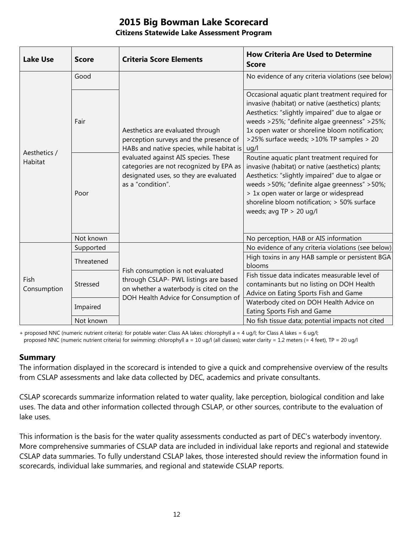| <b>Lake Use</b>         | <b>Score</b> | <b>Criteria Score Elements</b>                                                                                                                                                                                                                                            | <b>How Criteria Are Used to Determine</b><br><b>Score</b>                                                                                                                                                                                                                                                                  |
|-------------------------|--------------|---------------------------------------------------------------------------------------------------------------------------------------------------------------------------------------------------------------------------------------------------------------------------|----------------------------------------------------------------------------------------------------------------------------------------------------------------------------------------------------------------------------------------------------------------------------------------------------------------------------|
| Aesthetics /<br>Habitat | Good         | Aesthetics are evaluated through<br>perception surveys and the presence of<br>HABs and native species, while habitat is<br>evaluated against AIS species. These<br>categories are not recognized by EPA as<br>designated uses, so they are evaluated<br>as a "condition". | No evidence of any criteria violations (see below)                                                                                                                                                                                                                                                                         |
|                         | Fair         |                                                                                                                                                                                                                                                                           | Occasional aquatic plant treatment required for<br>invasive (habitat) or native (aesthetics) plants;<br>Aesthetics: "slightly impaired" due to algae or<br>weeds >25%; "definite algae greenness" >25%;<br>1x open water or shoreline bloom notification;<br>>25% surface weeds; >10% TP samples > 20<br>ug/l              |
|                         | Poor         |                                                                                                                                                                                                                                                                           | Routine aquatic plant treatment required for<br>invasive (habitat) or native (aesthetics) plants;<br>Aesthetics: "slightly impaired" due to algae or<br>weeds >50%; "definite algae greenness" >50%;<br>> 1x open water or large or widespread<br>shoreline bloom notification; > 50% surface<br>weeds; avg $TP > 20$ ug/l |
|                         | Not known    |                                                                                                                                                                                                                                                                           | No perception, HAB or AIS information                                                                                                                                                                                                                                                                                      |
| Fish<br>Consumption     | Supported    | Fish consumption is not evaluated<br>through CSLAP- PWL listings are based<br>on whether a waterbody is cited on the<br>DOH Health Advice for Consumption of                                                                                                              | No evidence of any criteria violations (see below)                                                                                                                                                                                                                                                                         |
|                         | Threatened   |                                                                                                                                                                                                                                                                           | High toxins in any HAB sample or persistent BGA<br>blooms                                                                                                                                                                                                                                                                  |
|                         | Stressed     |                                                                                                                                                                                                                                                                           | Fish tissue data indicates measurable level of<br>contaminants but no listing on DOH Health<br>Advice on Eating Sports Fish and Game                                                                                                                                                                                       |
|                         | Impaired     |                                                                                                                                                                                                                                                                           | Waterbody cited on DOH Health Advice on<br>Eating Sports Fish and Game                                                                                                                                                                                                                                                     |
|                         | Not known    |                                                                                                                                                                                                                                                                           | No fish tissue data; potential impacts not cited                                                                                                                                                                                                                                                                           |

+ proposed NNC (numeric nutrient criteria): for potable water: Class AA lakes: chlorophyll a = 4 ug/l; for Class A lakes = 6 ug/l; proposed NNC (numeric nutrient criteria) for swimming: chlorophyll a = 10 ug/l (all classes); water clarity = 1.2 meters (= 4 feet), TP = 20 ug/l

#### **Summary**

The information displayed in the scorecard is intended to give a quick and comprehensive overview of the results from CSLAP assessments and lake data collected by DEC, academics and private consultants.

CSLAP scorecards summarize information related to water quality, lake perception, biological condition and lake uses. The data and other information collected through CSLAP, or other sources, contribute to the evaluation of lake uses.

This information is the basis for the water quality assessments conducted as part of DEC's waterbody inventory. More comprehensive summaries of CSLAP data are included in individual lake reports and regional and statewide CSLAP data summaries. To fully understand CSLAP lakes, those interested should review the information found in scorecards, individual lake summaries, and regional and statewide CSLAP reports.